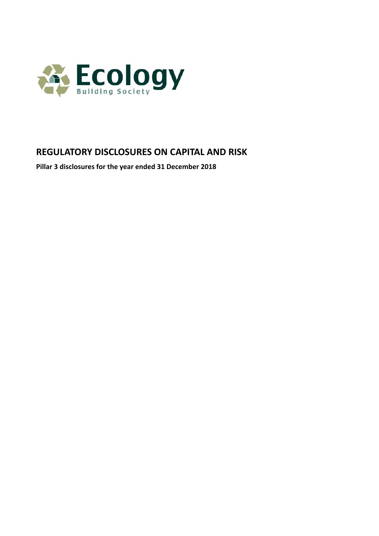

# **REGULATORY DISCLOSURES ON CAPITAL AND RISK**

**Pillar 3 disclosures for the year ended 31 December 2018**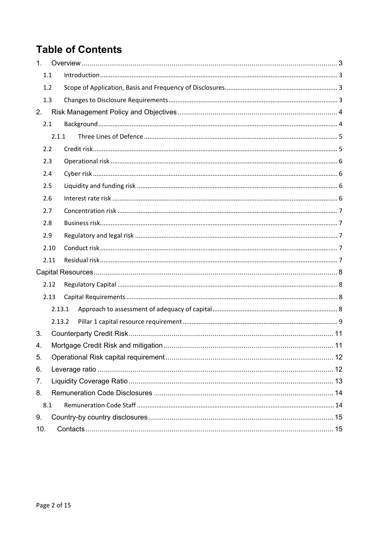# **Table of Contents**

| 1.  |        |  |
|-----|--------|--|
| 1.1 |        |  |
| 1.2 |        |  |
| 1.3 |        |  |
| 2.  |        |  |
| 2.1 |        |  |
|     | 2.1.1  |  |
| 2.2 |        |  |
| 2.3 |        |  |
| 2.4 |        |  |
| 2.5 |        |  |
| 2.6 |        |  |
| 2.7 |        |  |
| 2.8 |        |  |
| 2.9 |        |  |
|     | 2.10   |  |
|     | 2.11   |  |
|     |        |  |
|     | 2.12   |  |
|     | 2.13   |  |
|     | 2.13.1 |  |
|     | 2.13.2 |  |
| 3.  |        |  |
| 4.  |        |  |
| 5.  |        |  |
| 6.  |        |  |
| 7.  |        |  |
| 8.  |        |  |
| 8.1 |        |  |
| 9.  |        |  |
| 10. |        |  |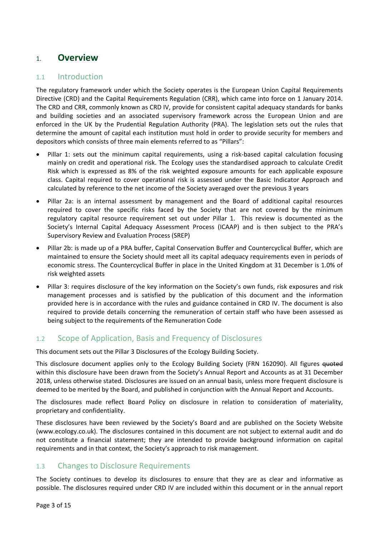# 1. **Overview**

### 1.1 Introduction

The regulatory framework under which the Society operates is the European Union Capital Requirements Directive (CRD) and the Capital Requirements Regulation (CRR), which came into force on 1 January 2014. The CRD and CRR, commonly known as CRD IV, provide for consistent capital adequacy standards for banks and building societies and an associated supervisory framework across the European Union and are enforced in the UK by the Prudential Regulation Authority (PRA). The legislation sets out the rules that determine the amount of capital each institution must hold in order to provide security for members and depositors which consists of three main elements referred to as "Pillars":

- Pillar 1: sets out the minimum capital requirements, using a risk-based capital calculation focusing mainly on credit and operational risk. The Ecology uses the standardised approach to calculate Credit Risk which is expressed as 8% of the risk weighted exposure amounts for each applicable exposure class. Capital required to cover operational risk is assessed under the Basic Indicator Approach and calculated by reference to the net income of the Society averaged over the previous 3 years
- Pillar 2a: is an internal assessment by management and the Board of additional capital resources required to cover the specific risks faced by the Society that are not covered by the minimum regulatory capital resource requirement set out under Pillar 1. This review is documented as the Society's Internal Capital Adequacy Assessment Process (ICAAP) and is then subject to the PRA's Supervisory Review and Evaluation Process (SREP)
- Pillar 2b: is made up of a PRA buffer, Capital Conservation Buffer and Countercyclical Buffer, which are maintained to ensure the Society should meet all its capital adequacy requirements even in periods of economic stress. The Countercyclical Buffer in place in the United Kingdom at 31 December is 1.0% of risk weighted assets
- Pillar 3: requires disclosure of the key information on the Society's own funds, risk exposures and risk management processes and is satisfied by the publication of this document and the information provided here is in accordance with the rules and guidance contained in CRD IV. The document is also required to provide details concerning the remuneration of certain staff who have been assessed as being subject to the requirements of the Remuneration Code

# 1.2 Scope of Application, Basis and Frequency of Disclosures

This document sets out the Pillar 3 Disclosures of the Ecology Building Society.

This disclosure document applies only to the Ecology Building Society (FRN 162090). All figures <del>quoted</del> within this disclosure have been drawn from the Society's Annual Report and Accounts as at 31 December 2018, unless otherwise stated. Disclosures are issued on an annual basis, unless more frequent disclosure is deemed to be merited by the Board, and published in conjunction with the Annual Report and Accounts.

The disclosures made reflect Board Policy on disclosure in relation to consideration of materiality, proprietary and confidentiality.

These disclosures have been reviewed by the Society's Board and are published on the Society Website (www.ecology.co.uk). The disclosures contained in this document are not subject to external audit and do not constitute a financial statement; they are intended to provide background information on capital requirements and in that context, the Society's approach to risk management.

# 1.3 Changes to Disclosure Requirements

The Society continues to develop its disclosures to ensure that they are as clear and informative as possible. The disclosures required under CRD IV are included within this document or in the annual report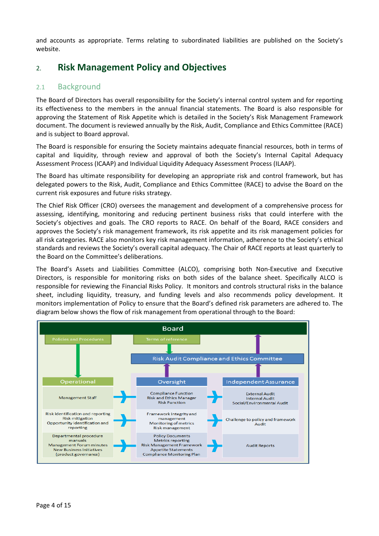and accounts as appropriate. Terms relating to subordinated liabilities are published on the Society's website.

# 2. **Risk Management Policy and Objectives**

### 2.1 Background

The Board of Directors has overall responsibility for the Society's internal control system and for reporting its effectiveness to the members in the annual financial statements. The Board is also responsible for approving the Statement of Risk Appetite which is detailed in the Society's Risk Management Framework document. The document is reviewed annually by the Risk, Audit, Compliance and Ethics Committee (RACE) and is subject to Board approval.

The Board is responsible for ensuring the Society maintains adequate financial resources, both in terms of capital and liquidity, through review and approval of both the Society's Internal Capital Adequacy Assessment Process (ICAAP) and Individual Liquidity Adequacy Assessment Process (ILAAP).

The Board has ultimate responsibility for developing an appropriate risk and control framework, but has delegated powers to the Risk, Audit, Compliance and Ethics Committee (RACE) to advise the Board on the current risk exposures and future risks strategy.

The Chief Risk Officer (CRO) oversees the management and development of a comprehensive process for assessing, identifying, monitoring and reducing pertinent business risks that could interfere with the Society's objectives and goals. The CRO reports to RACE. On behalf of the Board, RACE considers and approves the Society's risk management framework, its risk appetite and its risk management policies for all risk categories. RACE also monitors key risk management information, adherence to the Society's ethical standards and reviews the Society's overall capital adequacy. The Chair of RACE reports at least quarterly to the Board on the Committee's deliberations.

The Board's Assets and Liabilities Committee (ALCO), comprising both Non-Executive and Executive Directors, is responsible for monitoring risks on both sides of the balance sheet. Specifically ALCO is responsible for reviewing the Financial Risks Policy. It monitors and controls structural risks in the balance sheet, including liquidity, treasury, and funding levels and also recommends policy development. It monitors implementation of Policy to ensure that the Board's defined risk parameters are adhered to. The diagram below shows the flow of risk management from operational through to the Board:

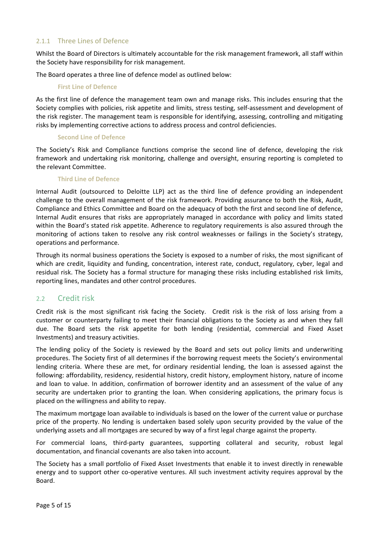#### 2.1.1 Three Lines of Defence

Whilst the Board of Directors is ultimately accountable for the risk management framework, all staff within the Society have responsibility for risk management.

The Board operates a three line of defence model as outlined below:

#### **First Line of Defence**

As the first line of defence the management team own and manage risks. This includes ensuring that the Society complies with policies, risk appetite and limits, stress testing, self‐assessment and development of the risk register. The management team is responsible for identifying, assessing, controlling and mitigating risks by implementing corrective actions to address process and control deficiencies.

#### **Second Line of Defence**

The Society's Risk and Compliance functions comprise the second line of defence, developing the risk framework and undertaking risk monitoring, challenge and oversight, ensuring reporting is completed to the relevant Committee.

#### **Third Line of Defence**

Internal Audit (outsourced to Deloitte LLP) act as the third line of defence providing an independent challenge to the overall management of the risk framework. Providing assurance to both the Risk, Audit, Compliance and Ethics Committee and Board on the adequacy of both the first and second line of defence, Internal Audit ensures that risks are appropriately managed in accordance with policy and limits stated within the Board's stated risk appetite. Adherence to regulatory requirements is also assured through the monitoring of actions taken to resolve any risk control weaknesses or failings in the Society's strategy, operations and performance.

Through its normal business operations the Society is exposed to a number of risks, the most significant of which are credit, liquidity and funding, concentration, interest rate, conduct, regulatory, cyber, legal and residual risk. The Society has a formal structure for managing these risks including established risk limits, reporting lines, mandates and other control procedures.

#### 2.2 Credit risk

Credit risk is the most significant risk facing the Society. Credit risk is the risk of loss arising from a customer or counterparty failing to meet their financial obligations to the Society as and when they fall due. The Board sets the risk appetite for both lending (residential, commercial and Fixed Asset Investments) and treasury activities.

The lending policy of the Society is reviewed by the Board and sets out policy limits and underwriting procedures. The Society first of all determines if the borrowing request meets the Society's environmental lending criteria. Where these are met, for ordinary residential lending, the loan is assessed against the following: affordability, residency, residential history, credit history, employment history, nature of income and loan to value. In addition, confirmation of borrower identity and an assessment of the value of any security are undertaken prior to granting the loan. When considering applications, the primary focus is placed on the willingness and ability to repay.

The maximum mortgage loan available to individuals is based on the lower of the current value or purchase price of the property. No lending is undertaken based solely upon security provided by the value of the underlying assets and all mortgages are secured by way of a first legal charge against the property.

For commercial loans, third-party guarantees, supporting collateral and security, robust legal documentation, and financial covenants are also taken into account.

The Society has a small portfolio of Fixed Asset Investments that enable it to invest directly in renewable energy and to support other co-operative ventures. All such investment activity requires approval by the Board.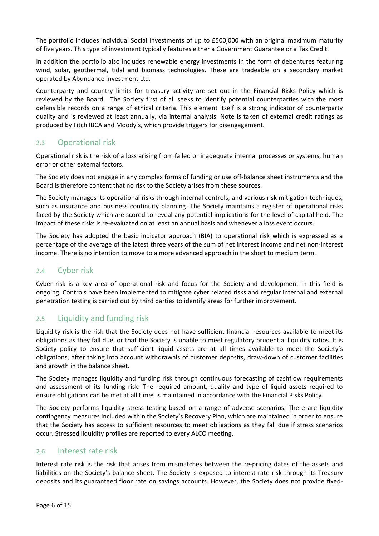The portfolio includes individual Social Investments of up to £500,000 with an original maximum maturity of five years. This type of investment typically features either a Government Guarantee or a Tax Credit.

In addition the portfolio also includes renewable energy investments in the form of debentures featuring wind, solar, geothermal, tidal and biomass technologies. These are tradeable on a secondary market operated by Abundance Investment Ltd.

Counterparty and country limits for treasury activity are set out in the Financial Risks Policy which is reviewed by the Board. The Society first of all seeks to identify potential counterparties with the most defensible records on a range of ethical criteria. This element itself is a strong indicator of counterparty quality and is reviewed at least annually, via internal analysis. Note is taken of external credit ratings as produced by Fitch IBCA and Moody's, which provide triggers for disengagement.

### 2.3 Operational risk

Operational risk is the risk of a loss arising from failed or inadequate internal processes or systems, human error or other external factors.

The Society does not engage in any complex forms of funding or use off‐balance sheet instruments and the Board is therefore content that no risk to the Society arises from these sources.

The Society manages its operational risks through internal controls, and various risk mitigation techniques, such as insurance and business continuity planning. The Society maintains a register of operational risks faced by the Society which are scored to reveal any potential implications for the level of capital held. The impact of these risks is re-evaluated on at least an annual basis and whenever a loss event occurs.

The Society has adopted the basic indicator approach (BIA) to operational risk which is expressed as a percentage of the average of the latest three years of the sum of net interest income and net non‐interest income. There is no intention to move to a more advanced approach in the short to medium term.

#### 2.4 Cyber risk

Cyber risk is a key area of operational risk and focus for the Society and development in this field is ongoing. Controls have been implemented to mitigate cyber related risks and regular internal and external penetration testing is carried out by third parties to identify areas for further improvement.

### 2.5 Liquidity and funding risk

Liquidity risk is the risk that the Society does not have sufficient financial resources available to meet its obligations as they fall due, or that the Society is unable to meet regulatory prudential liquidity ratios. It is Society policy to ensure that sufficient liquid assets are at all times available to meet the Society's obligations, after taking into account withdrawals of customer deposits, draw‐down of customer facilities and growth in the balance sheet.

The Society manages liquidity and funding risk through continuous forecasting of cashflow requirements and assessment of its funding risk. The required amount, quality and type of liquid assets required to ensure obligations can be met at all times is maintained in accordance with the Financial Risks Policy.

The Society performs liquidity stress testing based on a range of adverse scenarios. There are liquidity contingency measures included within the Society's Recovery Plan, which are maintained in order to ensure that the Society has access to sufficient resources to meet obligations as they fall due if stress scenarios occur. Stressed liquidity profiles are reported to every ALCO meeting.

#### 2.6 Interest rate risk

Interest rate risk is the risk that arises from mismatches between the re‐pricing dates of the assets and liabilities on the Society's balance sheet. The Society is exposed to interest rate risk through its Treasury deposits and its guaranteed floor rate on savings accounts. However, the Society does not provide fixed‐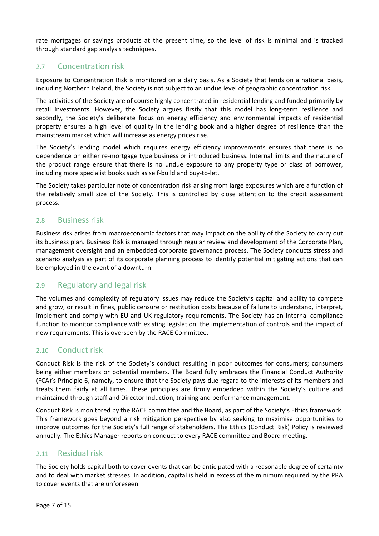rate mortgages or savings products at the present time, so the level of risk is minimal and is tracked through standard gap analysis techniques.

### 2.7 Concentration risk

Exposure to Concentration Risk is monitored on a daily basis. As a Society that lends on a national basis, including Northern Ireland, the Society is not subject to an undue level of geographic concentration risk.

The activities of the Society are of course highly concentrated in residential lending and funded primarily by retail investments. However, the Society argues firstly that this model has long-term resilience and secondly, the Society's deliberate focus on energy efficiency and environmental impacts of residential property ensures a high level of quality in the lending book and a higher degree of resilience than the mainstream market which will increase as energy prices rise.

The Society's lending model which requires energy efficiency improvements ensures that there is no dependence on either re-mortgage type business or introduced business. Internal limits and the nature of the product range ensure that there is no undue exposure to any property type or class of borrower, including more specialist books such as self‐build and buy‐to‐let.

The Society takes particular note of concentration risk arising from large exposures which are a function of the relatively small size of the Society. This is controlled by close attention to the credit assessment process.

### 2.8 Business risk

Business risk arises from macroeconomic factors that may impact on the ability of the Society to carry out its business plan. Business Risk is managed through regular review and development of the Corporate Plan, management oversight and an embedded corporate governance process. The Society conducts stress and scenario analysis as part of its corporate planning process to identify potential mitigating actions that can be employed in the event of a downturn.

### 2.9 Regulatory and legal risk

The volumes and complexity of regulatory issues may reduce the Society's capital and ability to compete and grow, or result in fines, public censure or restitution costs because of failure to understand, interpret, implement and comply with EU and UK regulatory requirements. The Society has an internal compliance function to monitor compliance with existing legislation, the implementation of controls and the impact of new requirements. This is overseen by the RACE Committee.

### 2.10 Conduct risk

Conduct Risk is the risk of the Society's conduct resulting in poor outcomes for consumers; consumers being either members or potential members. The Board fully embraces the Financial Conduct Authority (FCA)'s Principle 6, namely, to ensure that the Society pays due regard to the interests of its members and treats them fairly at all times. These principles are firmly embedded within the Society's culture and maintained through staff and Director Induction, training and performance management.

Conduct Risk is monitored by the RACE committee and the Board, as part of the Society's Ethics framework. This framework goes beyond a risk mitigation perspective by also seeking to maximise opportunities to improve outcomes for the Society's full range of stakeholders. The Ethics (Conduct Risk) Policy is reviewed annually. The Ethics Manager reports on conduct to every RACE committee and Board meeting.

#### 2.11 Residual risk

The Society holds capital both to cover events that can be anticipated with a reasonable degree of certainty and to deal with market stresses. In addition, capital is held in excess of the minimum required by the PRA to cover events that are unforeseen.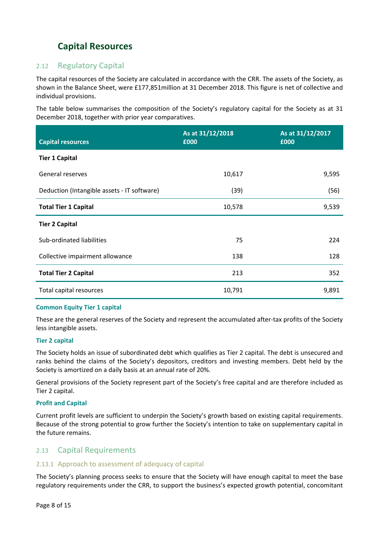# **Capital Resources**

### 2.12 Regulatory Capital

The capital resources of the Society are calculated in accordance with the CRR. The assets of the Society, as shown in the Balance Sheet, were £177,851million at 31 December 2018. This figure is net of collective and individual provisions.

The table below summarises the composition of the Society's regulatory capital for the Society as at 31 December 2018, together with prior year comparatives.

| <b>Capital resources</b>                    | As at 31/12/2018<br>£000 | As at 31/12/2017<br>£000 |
|---------------------------------------------|--------------------------|--------------------------|
| <b>Tier 1 Capital</b>                       |                          |                          |
| General reserves                            | 10,617                   | 9,595                    |
| Deduction (Intangible assets - IT software) | (39)                     | (56)                     |
| <b>Total Tier 1 Capital</b>                 | 10,578                   | 9,539                    |
| <b>Tier 2 Capital</b>                       |                          |                          |
| Sub-ordinated liabilities                   | 75                       | 224                      |
| Collective impairment allowance             | 138                      | 128                      |
| <b>Total Tier 2 Capital</b>                 | 213                      | 352                      |
| Total capital resources                     | 10,791                   | 9,891                    |

#### **Common Equity Tier 1 capital**

These are the general reserves of the Society and represent the accumulated after‐tax profits of the Society less intangible assets.

#### **Tier 2 capital**

The Society holds an issue of subordinated debt which qualifies as Tier 2 capital. The debt is unsecured and ranks behind the claims of the Society's depositors, creditors and investing members. Debt held by the Society is amortized on a daily basis at an annual rate of 20%.

General provisions of the Society represent part of the Society's free capital and are therefore included as Tier 2 capital.

#### **Profit and Capital**

Current profit levels are sufficient to underpin the Society's growth based on existing capital requirements. Because of the strong potential to grow further the Society's intention to take on supplementary capital in the future remains.

#### 2.13 Capital Requirements

#### 2.13.1 Approach to assessment of adequacy of capital

The Society's planning process seeks to ensure that the Society will have enough capital to meet the base regulatory requirements under the CRR, to support the business's expected growth potential, concomitant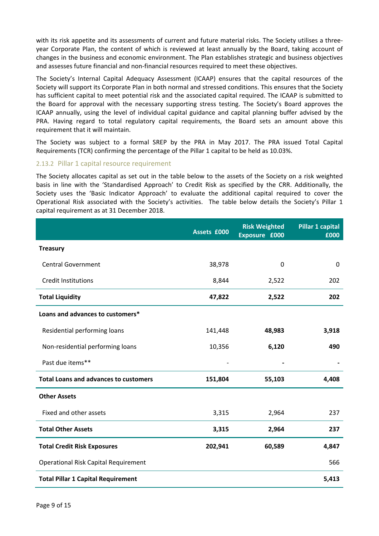with its risk appetite and its assessments of current and future material risks. The Society utilises a threeyear Corporate Plan, the content of which is reviewed at least annually by the Board, taking account of changes in the business and economic environment. The Plan establishes strategic and business objectives and assesses future financial and non-financial resources required to meet these objectives.

The Society's Internal Capital Adequacy Assessment (ICAAP) ensures that the capital resources of the Society will support its Corporate Plan in both normal and stressed conditions. This ensures that the Society has sufficient capital to meet potential risk and the associated capital required. The ICAAP is submitted to the Board for approval with the necessary supporting stress testing. The Society's Board approves the ICAAP annually, using the level of individual capital guidance and capital planning buffer advised by the PRA. Having regard to total regulatory capital requirements, the Board sets an amount above this requirement that it will maintain.

The Society was subject to a formal SREP by the PRA in May 2017. The PRA issued Total Capital Requirements (TCR) confirming the percentage of the Pillar 1 capital to be held as 10.03%.

#### 2.13.2 Pillar 1 capital resource requirement

The Society allocates capital as set out in the table below to the assets of the Society on a risk weighted basis in line with the 'Standardised Approach' to Credit Risk as specified by the CRR. Additionally, the Society uses the 'Basic Indicator Approach' to evaluate the additional capital required to cover the Operational Risk associated with the Society's activities. The table below details the Society's Pillar 1 capital requirement as at 31 December 2018.

|                                              | Assets £000 | <b>Risk Weighted</b><br>Exposure £000 | Pillar 1 capital<br>£000 |
|----------------------------------------------|-------------|---------------------------------------|--------------------------|
| <b>Treasury</b>                              |             |                                       |                          |
| <b>Central Government</b>                    | 38,978      | 0                                     | 0                        |
| <b>Credit Institutions</b>                   | 8,844       | 2,522                                 | 202                      |
| <b>Total Liquidity</b>                       | 47,822      | 2,522                                 | 202                      |
| Loans and advances to customers*             |             |                                       |                          |
| Residential performing loans                 | 141,448     | 48,983                                | 3,918                    |
| Non-residential performing loans             | 10,356      | 6,120                                 | 490                      |
| Past due items**                             |             |                                       |                          |
| <b>Total Loans and advances to customers</b> | 151,804     | 55,103                                | 4,408                    |
| <b>Other Assets</b>                          |             |                                       |                          |
| Fixed and other assets                       | 3,315       | 2,964                                 | 237                      |
| <b>Total Other Assets</b>                    | 3,315       | 2,964                                 | 237                      |
| <b>Total Credit Risk Exposures</b>           | 202,941     | 60,589                                | 4,847                    |
| <b>Operational Risk Capital Requirement</b>  |             |                                       | 566                      |
| <b>Total Pillar 1 Capital Requirement</b>    |             |                                       | 5,413                    |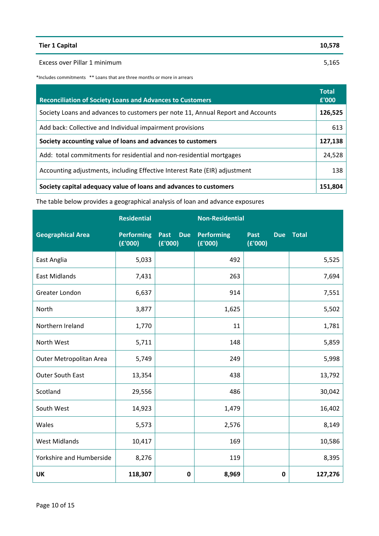| <b>Tier 1 Capital</b>        | 10,578 |
|------------------------------|--------|
| Excess over Pillar 1 minimum | 5,165  |

\*Includes commitments \*\* Loans that are three months or more in arrears

| <b>Reconciliation of Society Loans and Advances to Customers</b>                | <b>Total</b><br>£'000 |
|---------------------------------------------------------------------------------|-----------------------|
| Society Loans and advances to customers per note 11, Annual Report and Accounts | 126,525               |
| Add back: Collective and Individual impairment provisions                       | 613                   |
| Society accounting value of loans and advances to customers                     | 127,138               |
| Add: total commitments for residential and non-residential mortgages            | 24,528                |
| Accounting adjustments, including Effective Interest Rate (EIR) adjustment      | 138                   |
| Society capital adequacy value of loans and advances to customers               | 151.804               |

The table below provides a geographical analysis of loan and advance exposures

|                          | <b>Residential</b>           |                               | <b>Non-Residential</b>       |                        |           |
|--------------------------|------------------------------|-------------------------------|------------------------------|------------------------|-----------|
| <b>Geographical Area</b> | <b>Performing</b><br>(E'000) | <b>Due</b><br>Past<br>(E'000) | <b>Performing</b><br>(E'000) | <b>Past</b><br>(E'000) | Due Total |
| East Anglia              | 5,033                        |                               | 492                          |                        | 5,525     |
| <b>East Midlands</b>     | 7,431                        |                               | 263                          |                        | 7,694     |
| Greater London           | 6,637                        |                               | 914                          |                        | 7,551     |
| North                    | 3,877                        |                               | 1,625                        |                        | 5,502     |
| Northern Ireland         | 1,770                        |                               | 11                           |                        | 1,781     |
| North West               | 5,711                        |                               | 148                          |                        | 5,859     |
| Outer Metropolitan Area  | 5,749                        |                               | 249                          |                        | 5,998     |
| Outer South East         | 13,354                       |                               | 438                          |                        | 13,792    |
| Scotland                 | 29,556                       |                               | 486                          |                        | 30,042    |
| South West               | 14,923                       |                               | 1,479                        |                        | 16,402    |
| Wales                    | 5,573                        |                               | 2,576                        |                        | 8,149     |
| <b>West Midlands</b>     | 10,417                       |                               | 169                          |                        | 10,586    |
| Yorkshire and Humberside | 8,276                        |                               | 119                          |                        | 8,395     |
| UK                       | 118,307                      | $\mathbf 0$                   | 8,969                        | 0                      | 127,276   |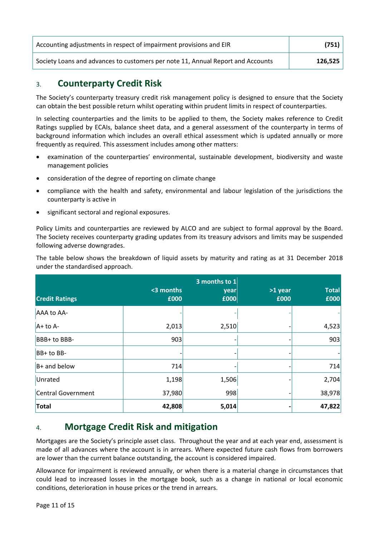| Accounting adjustments in respect of impairment provisions and EIR              | (751)   |
|---------------------------------------------------------------------------------|---------|
| Society Loans and advances to customers per note 11, Annual Report and Accounts | 126.525 |

# 3. **Counterparty Credit Risk**

The Society's counterparty treasury credit risk management policy is designed to ensure that the Society can obtain the best possible return whilst operating within prudent limits in respect of counterparties.

In selecting counterparties and the limits to be applied to them, the Society makes reference to Credit Ratings supplied by ECAIs, balance sheet data, and a general assessment of the counterparty in terms of background information which includes an overall ethical assessment which is updated annually or more frequently as required. This assessment includes among other matters:

- examination of the counterparties' environmental, sustainable development, biodiversity and waste management policies
- consideration of the degree of reporting on climate change
- compliance with the health and safety, environmental and labour legislation of the jurisdictions the counterparty is active in
- significant sectoral and regional exposures.

Policy Limits and counterparties are reviewed by ALCO and are subject to formal approval by the Board. The Society receives counterparty grading updates from its treasury advisors and limits may be suspended following adverse downgrades.

The table below shows the breakdown of liquid assets by maturity and rating as at 31 December 2018 under the standardised approach.

| <b>Credit Ratings</b> | <3 months<br>£000 | 3 months to 1<br>year<br>£000 | >1 year<br>£000 | <b>Total</b><br>£000 |
|-----------------------|-------------------|-------------------------------|-----------------|----------------------|
| AAA to AA-            |                   |                               |                 |                      |
| $A+$ to $A-$          | 2,013             | 2,510                         |                 | 4,523                |
| BBB+ to BBB-          | 903               |                               |                 | 903                  |
| $BB+$ to BB-          |                   |                               |                 |                      |
| B+ and below          | 714               |                               |                 | 714                  |
| Unrated               | 1,198             | 1,506                         |                 | 2,704                |
| Central Government    | 37,980            | 998                           |                 | 38,978               |
| <b>Total</b>          | 42,808            | 5,014                         |                 | 47,822               |

# 4.  **Mortgage Credit Risk and mitigation**

Mortgages are the Society's principle asset class. Throughout the year and at each year end, assessment is made of all advances where the account is in arrears. Where expected future cash flows from borrowers are lower than the current balance outstanding, the account is considered impaired.

Allowance for impairment is reviewed annually, or when there is a material change in circumstances that could lead to increased losses in the mortgage book, such as a change in national or local economic conditions, deterioration in house prices or the trend in arrears.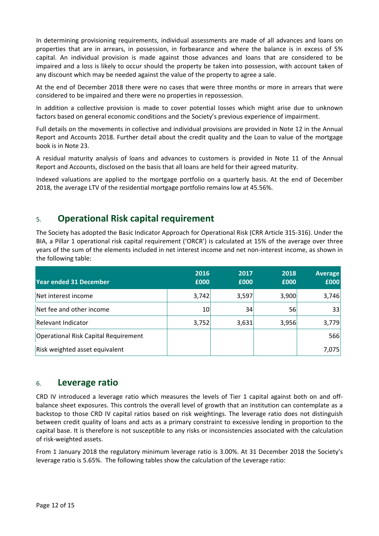In determining provisioning requirements, individual assessments are made of all advances and loans on properties that are in arrears, in possession, in forbearance and where the balance is in excess of 5% capital. An individual provision is made against those advances and loans that are considered to be impaired and a loss is likely to occur should the property be taken into possession, with account taken of any discount which may be needed against the value of the property to agree a sale.

At the end of December 2018 there were no cases that were three months or more in arrears that were considered to be impaired and there were no properties in repossession.

In addition a collective provision is made to cover potential losses which might arise due to unknown factors based on general economic conditions and the Society's previous experience of impairment.

Full details on the movements in collective and individual provisions are provided in Note 12 in the Annual Report and Accounts 2018. Further detail about the credit quality and the Loan to value of the mortgage book is in Note 23.

A residual maturity analysis of loans and advances to customers is provided in Note 11 of the Annual Report and Accounts, disclosed on the basis that all loans are held for their agreed maturity.

Indexed valuations are applied to the mortgage portfolio on a quarterly basis. At the end of December 2018, the average LTV of the residential mortgage portfolio remains low at 45.56%.

# 5. **Operational Risk capital requirement**

The Society has adopted the Basic Indicator Approach for Operational Risk (CRR Article 315‐316). Under the BIA, a Pillar 1 operational risk capital requirement ('ORCR') is calculated at 15% of the average over three years of the sum of the elements included in net interest income and net non‐interest income, as shown in the following table:

| <b>Year ended 31 December</b>        | 2016<br>£000 | 2017<br>£000 | 2018<br>£000 | <b>Average</b><br>£000 |
|--------------------------------------|--------------|--------------|--------------|------------------------|
| Net interest income                  | 3,742        | 3,597        | 3,900        | 3,746                  |
| Net fee and other income             | 10           | 34           | 56           | 33                     |
| Relevant Indicator                   | 3,752        | 3,631        | 3,956        | 3,779                  |
| Operational Risk Capital Requirement |              |              |              | 566                    |
| Risk weighted asset equivalent       |              |              |              | 7,075                  |

# 6. **Leverage ratio**

CRD IV introduced a leverage ratio which measures the levels of Tier 1 capital against both on and offbalance sheet exposures. This controls the overall level of growth that an institution can contemplate as a backstop to those CRD IV capital ratios based on risk weightings. The leverage ratio does not distinguish between credit quality of loans and acts as a primary constraint to excessive lending in proportion to the capital base. It is therefore is not susceptible to any risks or inconsistencies associated with the calculation of risk‐weighted assets.

From 1 January 2018 the regulatory minimum leverage ratio is 3.00%. At 31 December 2018 the Society's leverage ratio is 5.65%. The following tables show the calculation of the Leverage ratio: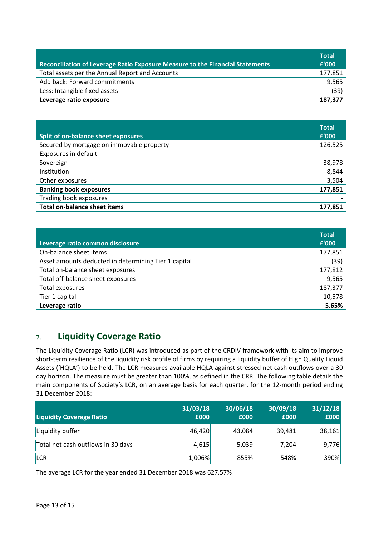| Reconciliation of Leverage Ratio Exposure Measure to the Financial Statements | <b>Total</b><br>£'000 |
|-------------------------------------------------------------------------------|-----------------------|
| Total assets per the Annual Report and Accounts                               | 177,851               |
| Add back: Forward commitments                                                 | 9,565                 |
| Less: Intangible fixed assets                                                 | (39)                  |
| Leverage ratio exposure                                                       | 187,377               |

|                                            | <b>Total</b> |
|--------------------------------------------|--------------|
| <b>Split of on-balance sheet exposures</b> | £'000        |
| Secured by mortgage on immovable property  | 126,525      |
| Exposures in default                       |              |
| Sovereign                                  | 38,978       |
| Institution                                | 8,844        |
| Other exposures                            | 3,504        |
| <b>Banking book exposures</b>              | 177,851      |
| Trading book exposures                     |              |
| <b>Total on-balance sheet items</b>        | 177,851      |

| Leverage ratio common disclosure                     | <b>Total</b><br>£'000 |
|------------------------------------------------------|-----------------------|
| On-balance sheet items                               | 177,851               |
| Asset amounts deducted in determining Tier 1 capital | (39)                  |
| Total on-balance sheet exposures                     | 177,812               |
| Total off-balance sheet exposures                    | 9,565                 |
| Total exposures                                      | 187,377               |
| Tier 1 capital                                       | 10,578                |
| Leverage ratio                                       | 5.65%                 |

# 7. **Liquidity Coverage Ratio**

The Liquidity Coverage Ratio (LCR) was introduced as part of the CRDIV framework with its aim to improve short-term resilience of the liquidity risk profile of firms by requiring a liquidity buffer of High Quality Liquid Assets ('HQLA') to be held. The LCR measures available HQLA against stressed net cash outflows over a 30 day horizon. The measure must be greater than 100%, as defined in the CRR. The following table details the main components of Society's LCR, on an average basis for each quarter, for the 12-month period ending 31 December 2018:

| <b>Liquidity Coverage Ratio</b>    | 31/03/18<br>£000 | 30/06/18<br>£000 | 30/09/18<br>£000 | 31/12/18<br>£000 |
|------------------------------------|------------------|------------------|------------------|------------------|
| Liquidity buffer                   | 46,420           | 43,084           | 39,481           | 38,161           |
| Total net cash outflows in 30 days | 4,615            | 5,039            | 7,204            | 9,776            |
| <b>LCR</b>                         | 1,006%           | 855%             | 548%             | 390%             |

The average LCR for the year ended 31 December 2018 was 627.57%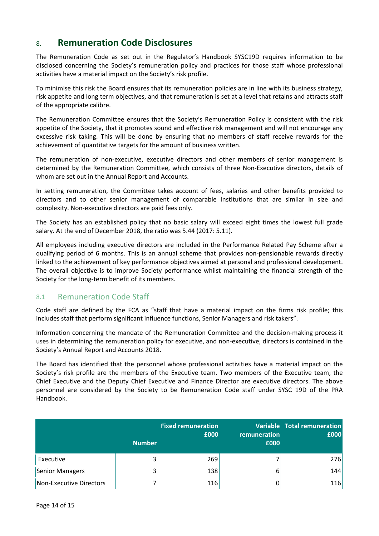# 8. **Remuneration Code Disclosures**

The Remuneration Code as set out in the Regulator's Handbook SYSC19D requires information to be disclosed concerning the Society's remuneration policy and practices for those staff whose professional activities have a material impact on the Society's risk profile.

To minimise this risk the Board ensures that its remuneration policies are in line with its business strategy, risk appetite and long term objectives, and that remuneration is set at a level that retains and attracts staff of the appropriate calibre.

The Remuneration Committee ensures that the Society's Remuneration Policy is consistent with the risk appetite of the Society, that it promotes sound and effective risk management and will not encourage any excessive risk taking. This will be done by ensuring that no members of staff receive rewards for the achievement of quantitative targets for the amount of business written.

The remuneration of non-executive, executive directors and other members of senior management is determined by the Remuneration Committee, which consists of three Non‐Executive directors, details of whom are set out in the Annual Report and Accounts.

In setting remuneration, the Committee takes account of fees, salaries and other benefits provided to directors and to other senior management of comparable institutions that are similar in size and complexity. Non‐executive directors are paid fees only.

The Society has an established policy that no basic salary will exceed eight times the lowest full grade salary. At the end of December 2018, the ratio was 5.44 (2017: 5.11).

All employees including executive directors are included in the Performance Related Pay Scheme after a qualifying period of 6 months. This is an annual scheme that provides non-pensionable rewards directly linked to the achievement of key performance objectives aimed at personal and professional development. The overall objective is to improve Society performance whilst maintaining the financial strength of the Society for the long‐term benefit of its members.

# 8.1 Remuneration Code Staff

Code staff are defined by the FCA as "staff that have a material impact on the firms risk profile; this includes staff that perform significant influence functions, Senior Managers and risk takers".

Information concerning the mandate of the Remuneration Committee and the decision‐making process it uses in determining the remuneration policy for executive, and non‐executive, directors is contained in the Society's Annual Report and Accounts 2018.

The Board has identified that the personnel whose professional activities have a material impact on the Society's risk profile are the members of the Executive team. Two members of the Executive team, the Chief Executive and the Deputy Chief Executive and Finance Director are executive directors. The above personnel are considered by the Society to be Remuneration Code staff under SYSC 19D of the PRA Handbook.

|                         | <b>Number</b> | <b>Fixed remuneration</b><br>£000 | remuneration<br>£000 | Variable Total remuneration<br>£000 |
|-------------------------|---------------|-----------------------------------|----------------------|-------------------------------------|
| Executive               |               | 269                               |                      | 276                                 |
| Senior Managers         |               | 138                               | 6                    | 144                                 |
| Non-Executive Directors |               | 116                               |                      | 116                                 |